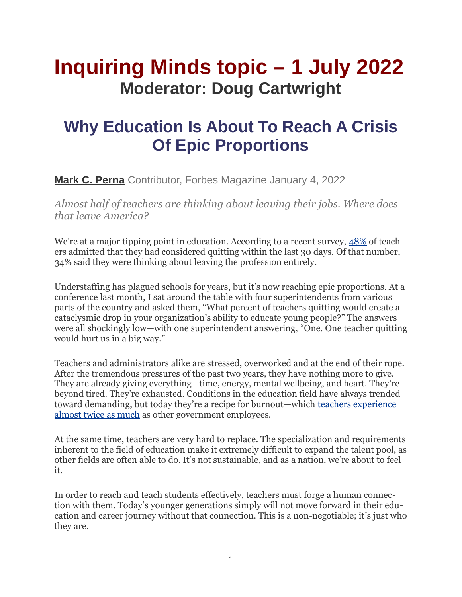# **Inquiring Minds topic – 1 July 2022 Moderator: Doug Cartwright**

## **Why Education Is About To Reach A Crisis Of Epic Proportions**

**[Mark C. Perna](https://www.forbes.com/sites/markcperna/)** Contributor, Forbes Magazine January 4, 2022

*Almost half of teachers are thinking about leaving their jobs. Where does that leave America?*

We're at a major tipping point in education. According to a recent survey, [48%](https://www.k12dive.com/news/survey-48-of-teachers-considering-job-change/610477/) of teachers admitted that they had considered quitting within the last 30 days. Of that number, 34% said they were thinking about leaving the profession entirely.

Understaffing has plagued schools for years, but it's now reaching epic proportions. At a conference last month, I sat around the table with four superintendents from various parts of the country and asked them, "What percent of teachers quitting would create a cataclysmic drop in your organization's ability to educate young people?" The answers were all shockingly low—with one superintendent answering, "One. One teacher quitting would hurt us in a big way."

Teachers and administrators alike are stressed, overworked and at the end of their rope. After the tremendous pressures of the past two years, they have nothing more to give. They are already giving everything—time, energy, mental wellbeing, and heart. They're beyond tired. They're exhausted. Conditions in the education field have always trended toward demanding, but today they're a recipe for burnout—which [teachers experience](https://www.k12dive.com/news/survey-teachers-more-likely-to-report-burnout-than-other-government-employ/607413/)  [almost twice as much](https://www.k12dive.com/news/survey-teachers-more-likely-to-report-burnout-than-other-government-employ/607413/) as other government employees.

At the same time, teachers are very hard to replace. The specialization and requirements inherent to the field of education make it extremely difficult to expand the talent pool, as other fields are often able to do. It's not sustainable, and as a nation, we're about to feel it.

In order to reach and teach students effectively, teachers must forge a human connection with them. Today's younger generations simply will not move forward in their education and career journey without that connection. This is a non-negotiable; it's just who they are.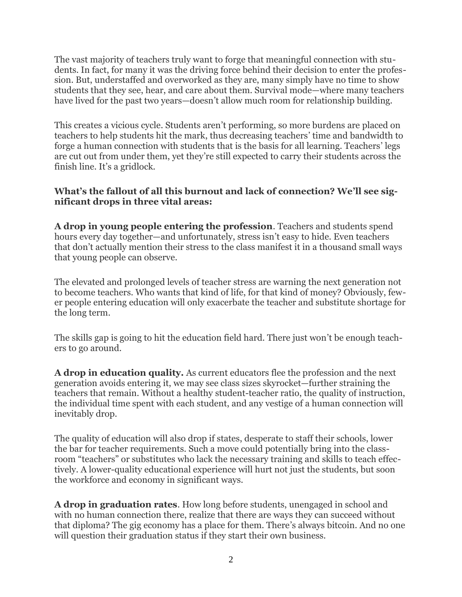The vast majority of teachers truly want to forge that meaningful connection with students. In fact, for many it was the driving force behind their decision to enter the profession. But, understaffed and overworked as they are, many simply have no time to show students that they see, hear, and care about them. Survival mode—where many teachers have lived for the past two years—doesn't allow much room for relationship building.

This creates a vicious cycle. Students aren't performing, so more burdens are placed on teachers to help students hit the mark, thus decreasing teachers' time and bandwidth to forge a human connection with students that is the basis for all learning. Teachers' legs are cut out from under them, yet they're still expected to carry their students across the finish line. It's a gridlock.

#### **What's the fallout of all this burnout and lack of connection? We'll see significant drops in three vital areas:**

**A drop in young people entering the profession**. Teachers and students spend hours every day together—and unfortunately, stress isn't easy to hide. Even teachers that don't actually mention their stress to the class manifest it in a thousand small ways that young people can observe.

The elevated and prolonged levels of teacher stress are warning the next generation not to become teachers. Who wants that kind of life, for that kind of money? Obviously, fewer people entering education will only exacerbate the teacher and substitute shortage for the long term.

The skills gap is going to hit the education field hard. There just won't be enough teachers to go around.

**A drop in education quality.** As current educators flee the profession and the next generation avoids entering it, we may see class sizes skyrocket—further straining the teachers that remain. Without a healthy student-teacher ratio, the quality of instruction, the individual time spent with each student, and any vestige of a human connection will inevitably drop.

The quality of education will also drop if states, desperate to staff their schools, lower the bar for teacher requirements. Such a move could potentially bring into the classroom "teachers" or substitutes who lack the necessary training and skills to teach effectively. A lower-quality educational experience will hurt not just the students, but soon the workforce and economy in significant ways.

**A drop in graduation rates**. How long before students, unengaged in school and with no human connection there, realize that there are ways they can succeed without that diploma? The gig economy has a place for them. There's always bitcoin. And no one will question their graduation status if they start their own business.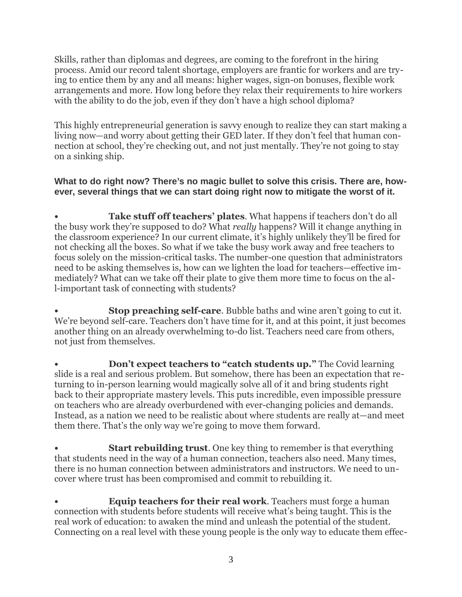Skills, rather than diplomas and degrees, are coming to the forefront in the hiring process. Amid our record talent shortage, employers are frantic for workers and are trying to entice them by any and all means: higher wages, sign-on bonuses, flexible work arrangements and more. How long before they relax their requirements to hire workers with the ability to do the job, even if they don't have a high school diploma?

This highly entrepreneurial generation is savvy enough to realize they can start making a living now—and worry about getting their GED later. If they don't feel that human connection at school, they're checking out, and not just mentally. They're not going to stay on a sinking ship.

#### **What to do right now? There's no magic bullet to solve this crisis. There are, however, several things that we can start doing right now to mitigate the worst of it.**

**• Take stuff off teachers' plates**. What happens if teachers don't do all the busy work they're supposed to do? What *really* happens? Will it change anything in the classroom experience? In our current climate, it's highly unlikely they'll be fired for not checking all the boxes. So what if we take the busy work away and free teachers to focus solely on the mission-critical tasks. The number-one question that administrators need to be asking themselves is, how can we lighten the load for teachers—effective immediately? What can we take off their plate to give them more time to focus on the all-important task of connecting with students?

**Stop preaching self-care**. Bubble baths and wine aren't going to cut it. We're beyond self-care. Teachers don't have time for it, and at this point, it just becomes another thing on an already overwhelming to-do list. Teachers need care from others, not just from themselves.

**• Don't expect teachers to "catch students up."** The Covid learning slide is a real and serious problem. But somehow, there has been an expectation that returning to in-person learning would magically solve all of it and bring students right back to their appropriate mastery levels. This puts incredible, even impossible pressure on teachers who are already overburdened with ever-changing policies and demands. Instead, as a nation we need to be realistic about where students are really at—and meet them there. That's the only way we're going to move them forward.

**Start rebuilding trust**. One key thing to remember is that everything that students need in the way of a human connection, teachers also need. Many times, there is no human connection between administrators and instructors. We need to uncover where trust has been compromised and commit to rebuilding it.

**• Equip teachers for their real work**. Teachers must forge a human connection with students before students will receive what's being taught. This is the real work of education: to awaken the mind and unleash the potential of the student. Connecting on a real level with these young people is the only way to educate them effec